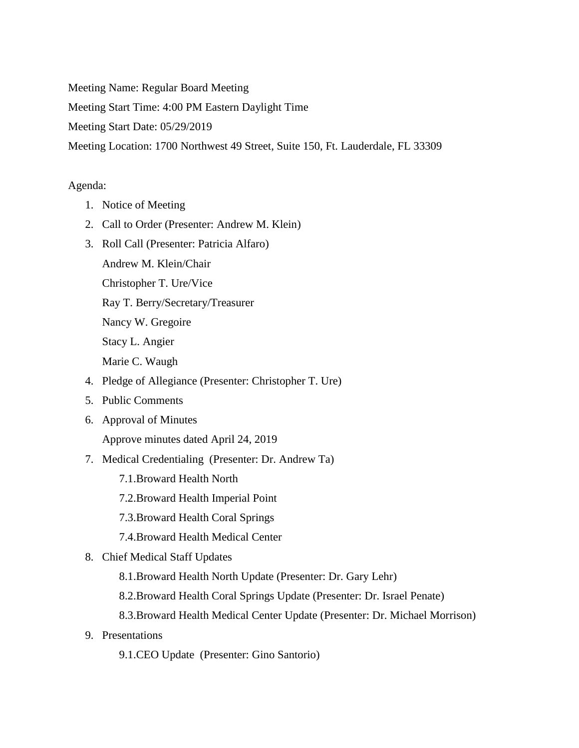Meeting Name: Regular Board Meeting

Meeting Start Time: 4:00 PM Eastern Daylight Time

Meeting Start Date: 05/29/2019

Meeting Location: 1700 Northwest 49 Street, Suite 150, Ft. Lauderdale, FL 33309

## Agenda:

- 1. Notice of Meeting
- 2. Call to Order (Presenter: Andrew M. Klein)
- 3. Roll Call (Presenter: Patricia Alfaro)
	- Andrew M. Klein/Chair

Christopher T. Ure/Vice

Ray T. Berry/Secretary/Treasurer

Nancy W. Gregoire

Stacy L. Angier

Marie C. Waugh

- 4. Pledge of Allegiance (Presenter: Christopher T. Ure)
- 5. Public Comments
- 6. Approval of Minutes

Approve minutes dated April 24, 2019

- 7. Medical Credentialing (Presenter: Dr. Andrew Ta)
	- 7.1.Broward Health North
	- 7.2.Broward Health Imperial Point
	- 7.3.Broward Health Coral Springs
	- 7.4.Broward Health Medical Center
- 8. Chief Medical Staff Updates
	- 8.1.Broward Health North Update (Presenter: Dr. Gary Lehr)
	- 8.2.Broward Health Coral Springs Update (Presenter: Dr. Israel Penate)
	- 8.3.Broward Health Medical Center Update (Presenter: Dr. Michael Morrison)
- 9. Presentations
	- 9.1.CEO Update (Presenter: Gino Santorio)